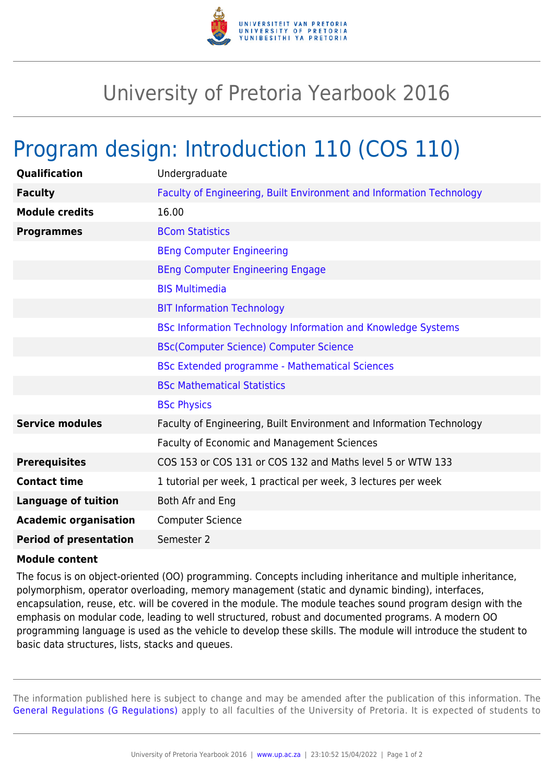

## University of Pretoria Yearbook 2016

## Program design: Introduction 110 (COS 110)

| Qualification                 | Undergraduate                                                        |
|-------------------------------|----------------------------------------------------------------------|
| <b>Faculty</b>                | Faculty of Engineering, Built Environment and Information Technology |
| <b>Module credits</b>         | 16.00                                                                |
| <b>Programmes</b>             | <b>BCom Statistics</b>                                               |
|                               | <b>BEng Computer Engineering</b>                                     |
|                               | <b>BEng Computer Engineering Engage</b>                              |
|                               | <b>BIS Multimedia</b>                                                |
|                               | <b>BIT Information Technology</b>                                    |
|                               | <b>BSc Information Technology Information and Knowledge Systems</b>  |
|                               | <b>BSc(Computer Science) Computer Science</b>                        |
|                               | <b>BSc Extended programme - Mathematical Sciences</b>                |
|                               | <b>BSc Mathematical Statistics</b>                                   |
|                               | <b>BSc Physics</b>                                                   |
| <b>Service modules</b>        | Faculty of Engineering, Built Environment and Information Technology |
|                               | Faculty of Economic and Management Sciences                          |
| <b>Prerequisites</b>          | COS 153 or COS 131 or COS 132 and Maths level 5 or WTW 133           |
| <b>Contact time</b>           | 1 tutorial per week, 1 practical per week, 3 lectures per week       |
| <b>Language of tuition</b>    | Both Afr and Eng                                                     |
| <b>Academic organisation</b>  | <b>Computer Science</b>                                              |
| <b>Period of presentation</b> | Semester 2                                                           |

## **Module content**

The focus is on object-oriented (OO) programming. Concepts including inheritance and multiple inheritance, polymorphism, operator overloading, memory management (static and dynamic binding), interfaces, encapsulation, reuse, etc. will be covered in the module. The module teaches sound program design with the emphasis on modular code, leading to well structured, robust and documented programs. A modern OO programming language is used as the vehicle to develop these skills. The module will introduce the student to basic data structures, lists, stacks and queues.

The information published here is subject to change and may be amended after the publication of this information. The [General Regulations \(G Regulations\)](https://www.up.ac.za/parents/yearbooks/2016/rules/view/REG) apply to all faculties of the University of Pretoria. It is expected of students to